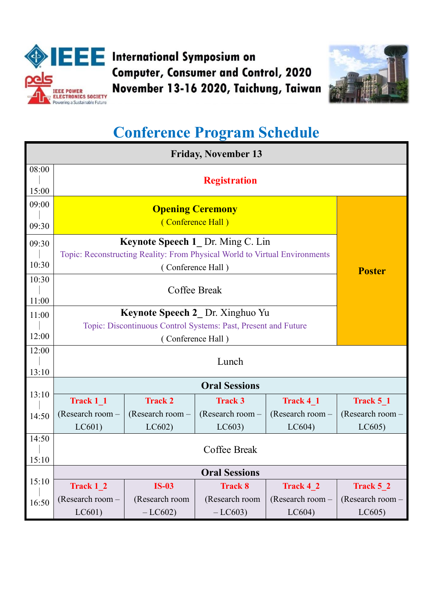

# **OBLEE** International Symposium on **Computer, Consumer and Control, 2020** November 13-16 2020, Taichung, Taiwan



# **Conference Program Schedule**

| <b>Friday, November 13</b> |                                                                                                                       |                                              |                                              |                                                |                                        |  |  |  |
|----------------------------|-----------------------------------------------------------------------------------------------------------------------|----------------------------------------------|----------------------------------------------|------------------------------------------------|----------------------------------------|--|--|--|
| 08:00<br>15:00             | <b>Registration</b>                                                                                                   |                                              |                                              |                                                |                                        |  |  |  |
| 09:00<br>09:30             |                                                                                                                       |                                              |                                              |                                                |                                        |  |  |  |
| 09:30<br>10:30             | <b>Keynote Speech 1</b> Dr. Ming C. Lin<br>Topic: Reconstructing Reality: From Physical World to Virtual Environments | <b>Poster</b>                                |                                              |                                                |                                        |  |  |  |
| 10:30<br>11:00             |                                                                                                                       |                                              |                                              |                                                |                                        |  |  |  |
| 11:00<br>12:00             | <b>Keynote Speech 2</b> Dr. Xinghuo Yu<br>Topic: Discontinuous Control Systems: Past, Present and Future              |                                              |                                              |                                                |                                        |  |  |  |
| 12:00<br>13:10             | Lunch                                                                                                                 |                                              |                                              |                                                |                                        |  |  |  |
|                            | <b>Oral Sessions</b>                                                                                                  |                                              |                                              |                                                |                                        |  |  |  |
| 13:10<br>14:50             | Track 1 1<br>(Research room -<br>LC601)                                                                               | <b>Track 2</b><br>(Research room -<br>LC602) | <b>Track 3</b><br>(Research room -<br>LC603) | <b>Track 4 1</b><br>(Research room -<br>LC604) | Track 5 1<br>(Research room -<br>LC605 |  |  |  |
| 14:50<br>15:10             | Coffee Break                                                                                                          |                                              |                                              |                                                |                                        |  |  |  |
|                            | <b>Oral Sessions</b>                                                                                                  |                                              |                                              |                                                |                                        |  |  |  |
| 15:10                      | Track 1 2                                                                                                             | $IS-03$                                      | <b>Track 8</b>                               | Track 4 2                                      | Track 5 2                              |  |  |  |
| 16:50                      | (Research room -<br>LC601)                                                                                            | (Research room<br>$-LC602$                   | (Research room<br>$-LC603)$                  | (Research room -<br>LC604)                     | (Research room -<br>LC605)             |  |  |  |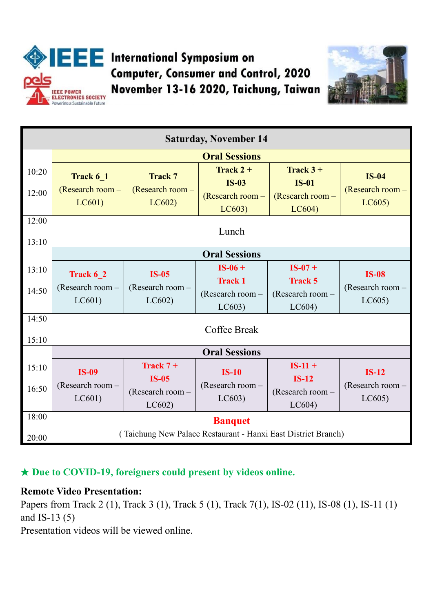

### **EEE** International Symposium on **Computer, Consumer and Control, 2020** November 13-16 2020, Taichung, Taiwan



| <b>Saturday, November 14</b> |                                                                                 |                                                     |                                                           |                                                            |                                            |  |  |
|------------------------------|---------------------------------------------------------------------------------|-----------------------------------------------------|-----------------------------------------------------------|------------------------------------------------------------|--------------------------------------------|--|--|
|                              | <b>Oral Sessions</b>                                                            |                                                     |                                                           |                                                            |                                            |  |  |
| 10:20<br>12:00               | Track 6 1<br>(Research room -<br>LC601)                                         | <b>Track 7</b><br>(Research room $-$<br>LC602)      | Track $2 +$<br>$IS-03$<br>(Research room $-$<br>LC603)    | Track $3+$<br><b>IS-01</b><br>(Research room $-$<br>LC604) | <b>IS-04</b><br>(Research room -<br>LC605) |  |  |
| 12:00<br>13:10               | Lunch                                                                           |                                                     |                                                           |                                                            |                                            |  |  |
|                              | <b>Oral Sessions</b>                                                            |                                                     |                                                           |                                                            |                                            |  |  |
| 13:10<br>14:50               | Track 6 2<br>(Research room -<br>LC601)                                         | $IS-05$<br>(Research room -<br>LC602)               | $IS-06 +$<br><b>Track 1</b><br>(Research room -<br>LC603) | $IS-07+$<br><b>Track 5</b><br>(Research room -<br>LC604)   | <b>IS-08</b><br>(Research room -<br>LC605) |  |  |
| 14:50<br>15:10               | Coffee Break                                                                    |                                                     |                                                           |                                                            |                                            |  |  |
|                              | <b>Oral Sessions</b>                                                            |                                                     |                                                           |                                                            |                                            |  |  |
| 15:10<br>16:50               | <b>IS-09</b><br>(Research room -<br>LC601)                                      | Track $7+$<br>$IS-05$<br>(Research room -<br>LC602) | $IS-10$<br>(Research room -<br>LC603)                     | $IS-11 +$<br><b>IS-12</b><br>(Research room -<br>LC604)    | $IS-12$<br>(Research room -<br>LC605       |  |  |
| 18:00<br>20:00               | <b>Banquet</b><br>(Taichung New Palace Restaurant - Hanxi East District Branch) |                                                     |                                                           |                                                            |                                            |  |  |

#### ★ **Due to COVID-19, foreigners could present by videos online.**

#### **Remote Video Presentation:**

Papers from Track 2 (1), Track 3 (1), Track 5 (1), Track 7(1), IS-02 (11), IS-08 (1), IS-11 (1) and IS-13 (5)

Presentation videos will be viewed online.